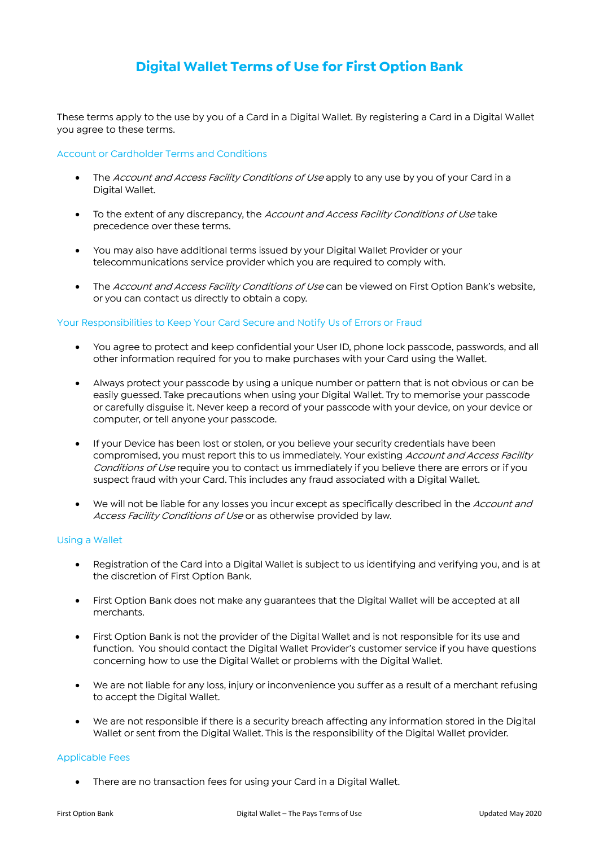# **Digital Wallet Terms of Use for First Option Bank**

These terms apply to the use by you of a Card in a Digital Wallet. By registering a Card in a Digital Wallet you agree to these terms.

## Account or Cardholder Terms and Conditions

- The Account and Access Facility Conditions of Use apply to any use by you of your Card in a Digital Wallet.
- To the extent of any discrepancy, the Account and Access Facility Conditions of Use take precedence over these terms.
- You may also have additional terms issued by your Digital Wallet Provider or your telecommunications service provider which you are required to comply with.
- The Account and Access Facility Conditions of Use can be viewed on First Option Bank's website, or you can contact us directly to obtain a copy.

### Your Responsibilities to Keep Your Card Secure and Notify Us of Errors or Fraud

- You agree to protect and keep confidential your User ID, phone lock passcode, passwords, and all other information required for you to make purchases with your Card using the Wallet.
- Always protect your passcode by using a unique number or pattern that is not obvious or can be easily guessed. Take precautions when using your Digital Wallet. Try to memorise your passcode or carefully disguise it. Never keep a record of your passcode with your device, on your device or computer, or tell anyone your passcode.
- If your Device has been lost or stolen, or you believe your security credentials have been compromised, you must report this to us immediately. Your existing Account and Access Facility Conditions of Use require you to contact us immediately if you believe there are errors or if you suspect fraud with your Card. This includes any fraud associated with a Digital Wallet.
- We will not be liable for any losses you incur except as specifically described in the Account and Access Facility Conditions of Use or as otherwise provided by law.

#### Using a Wallet

- Registration of the Card into a Digital Wallet is subject to us identifying and verifying you, and is at the discretion of First Option Bank.
- First Option Bank does not make any guarantees that the Digital Wallet will be accepted at all merchants.
- First Option Bank is not the provider of the Digital Wallet and is not responsible for its use and function. You should contact the Digital Wallet Provider's customer service if you have questions concerning how to use the Digital Wallet or problems with the Digital Wallet.
- We are not liable for any loss, injury or inconvenience you suffer as a result of a merchant refusing to accept the Digital Wallet.
- We are not responsible if there is a security breach affecting any information stored in the Digital Wallet or sent from the Digital Wallet. This is the responsibility of the Digital Wallet provider.

### Applicable Fees

There are no transaction fees for using your Card in a Digital Wallet.